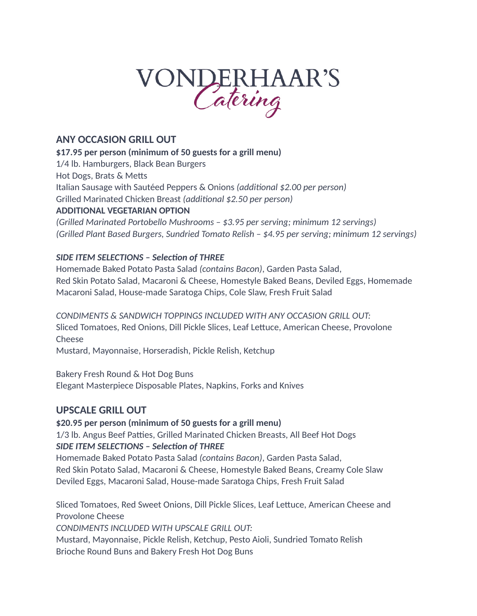# VONDERHAAR'S

# **ANY OCCASION GRILL OUT**

**\$17.95 per person (minimum of 50 guests for a grill menu)**

1/4 lb. Hamburgers, Black Bean Burgers

Hot Dogs, Brats & Metts

Italian Sausage with Sautéed Peppers & Onions *(additional \$2.00 per person)*

Grilled Marinated Chicken Breast *(additional \$2.50 per person)*

# **ADDITIONAL VEGETARIAN OPTION**

*(Grilled Marinated Portobello Mushrooms – \$3.95 per serving; minimum 12 servings) (Grilled Plant Based Burgers, Sundried Tomato Relish – \$4.95 per serving; minimum 12 servings)*

# *SIDE ITEM SELECTIONS – Selection of THREE*

Homemade Baked Potato Pasta Salad *(contains Bacon)*, Garden Pasta Salad, Red Skin Potato Salad, Macaroni & Cheese, Homestyle Baked Beans, Deviled Eggs, Homemade Macaroni Salad, House-made Saratoga Chips, Cole Slaw, Fresh Fruit Salad

*CONDIMENTS & SANDWICH TOPPINGS INCLUDED WITH ANY OCCASION GRILL OUT:* Sliced Tomatoes, Red Onions, Dill Pickle Slices, Leaf Lettuce, American Cheese, Provolone Cheese

Mustard, Mayonnaise, Horseradish, Pickle Relish, Ketchup

Bakery Fresh Round & Hot Dog Buns Elegant Masterpiece Disposable Plates, Napkins, Forks and Knives

# **UPSCALE GRILL OUT**

**\$20.95 per person (minimum of 50 guests for a grill menu)**

1/3 lb. Angus Beef Patties, Grilled Marinated Chicken Breasts, All Beef Hot Dogs *SIDE ITEM SELECTIONS – Selection of THREE*

Homemade Baked Potato Pasta Salad *(contains Bacon)*, Garden Pasta Salad, Red Skin Potato Salad, Macaroni & Cheese, Homestyle Baked Beans, Creamy Cole Slaw Deviled Eggs, Macaroni Salad, House-made Saratoga Chips, Fresh Fruit Salad

Sliced Tomatoes, Red Sweet Onions, Dill Pickle Slices, Leaf Lettuce, American Cheese and Provolone Cheese *CONDIMENTS INCLUDED WITH UPSCALE GRILL OUT:*

Mustard, Mayonnaise, Pickle Relish, Ketchup, Pesto Aioli, Sundried Tomato Relish Brioche Round Buns and Bakery Fresh Hot Dog Buns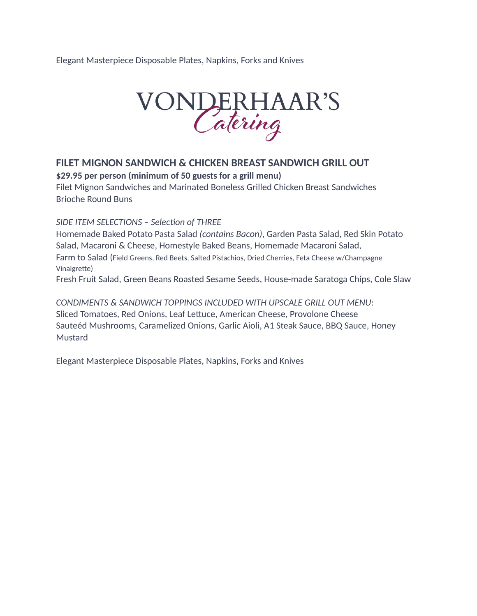Elegant Masterpiece Disposable Plates, Napkins, Forks and Knives



# **FILET MIGNON SANDWICH & CHICKEN BREAST SANDWICH GRILL OUT**

**\$29.95 per person (minimum of 50 guests for a grill menu)**

Filet Mignon Sandwiches and Marinated Boneless Grilled Chicken Breast Sandwiches Brioche Round Buns

#### *SIDE ITEM SELECTIONS – Selection of THREE*

Homemade Baked Potato Pasta Salad *(contains Bacon)*, Garden Pasta Salad, Red Skin Potato Salad, Macaroni & Cheese, Homestyle Baked Beans, Homemade Macaroni Salad, Farm to Salad (Field Greens, Red Beets, Salted Pistachios, Dried Cherries, Feta Cheese w/Champagne Vinaigrette)

Fresh Fruit Salad, Green Beans Roasted Sesame Seeds, House-made Saratoga Chips, Cole Slaw

*CONDIMENTS & SANDWICH TOPPINGS INCLUDED WITH UPSCALE GRILL OUT MENU:* Sliced Tomatoes, Red Onions, Leaf Lettuce, American Cheese, Provolone Cheese Sauteéd Mushrooms, Caramelized Onions, Garlic Aioli, A1 Steak Sauce, BBQ Sauce, Honey Mustard

Elegant Masterpiece Disposable Plates, Napkins, Forks and Knives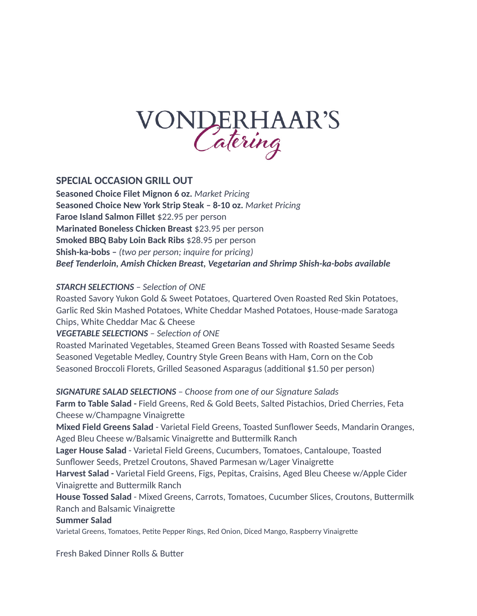

### **SPECIAL OCCASION GRILL OUT**

**Seasoned Choice Filet Mignon 6 oz.** *Market Pricing* **Seasoned Choice New York Strip Steak – 8-10 oz.** *Market Pricing*  **Faroe Island Salmon Fillet** \$22.95 per person **Marinated Boneless Chicken Breast** \$23.95 per person **Smoked BBQ Baby Loin Back Ribs** \$28.95 per person **Shish-ka-bobs –** *(two per person; inquire for pricing) Beef Tenderloin, Amish Chicken Breast, Vegetarian and Shrimp Shish-ka-bobs available*

#### *STARCH SELECTIONS – Selection of ONE*

Roasted Savory Yukon Gold & Sweet Potatoes, Quartered Oven Roasted Red Skin Potatoes, Garlic Red Skin Mashed Potatoes, White Cheddar Mashed Potatoes, House-made Saratoga Chips, White Cheddar Mac & Cheese

#### *VEGETABLE SELECTIONS – Selection of ONE*

Roasted Marinated Vegetables, Steamed Green Beans Tossed with Roasted Sesame Seeds Seasoned Vegetable Medley, Country Style Green Beans with Ham, Corn on the Cob Seasoned Broccoli Florets, Grilled Seasoned Asparagus (additional \$1.50 per person)

#### *SIGNATURE SALAD SELECTIONS – Choose from one of our Signature Salads*

**Farm to Table Salad -** Field Greens, Red & Gold Beets, Salted Pistachios, Dried Cherries, Feta Cheese w/Champagne Vinaigrette

**Mixed Field Greens Salad** - Varietal Field Greens, Toasted Sunflower Seeds, Mandarin Oranges, Aged Bleu Cheese w/Balsamic Vinaigrette and Buttermilk Ranch

**Lager House Salad** - Varietal Field Greens, Cucumbers, Tomatoes, Cantaloupe, Toasted Sunflower Seeds, Pretzel Croutons, Shaved Parmesan w/Lager Vinaigrette

**Harvest Salad -** Varietal Field Greens, Figs, Pepitas, Craisins, Aged Bleu Cheese w/Apple Cider Vinaigrette and Buttermilk Ranch

**House Tossed Salad** - Mixed Greens, Carrots, Tomatoes, Cucumber Slices, Croutons, Buttermilk Ranch and Balsamic Vinaigrette

#### **Summer Salad**

Varietal Greens, Tomatoes, Petite Pepper Rings, Red Onion, Diced Mango, Raspberry Vinaigrette

Fresh Baked Dinner Rolls & Butter